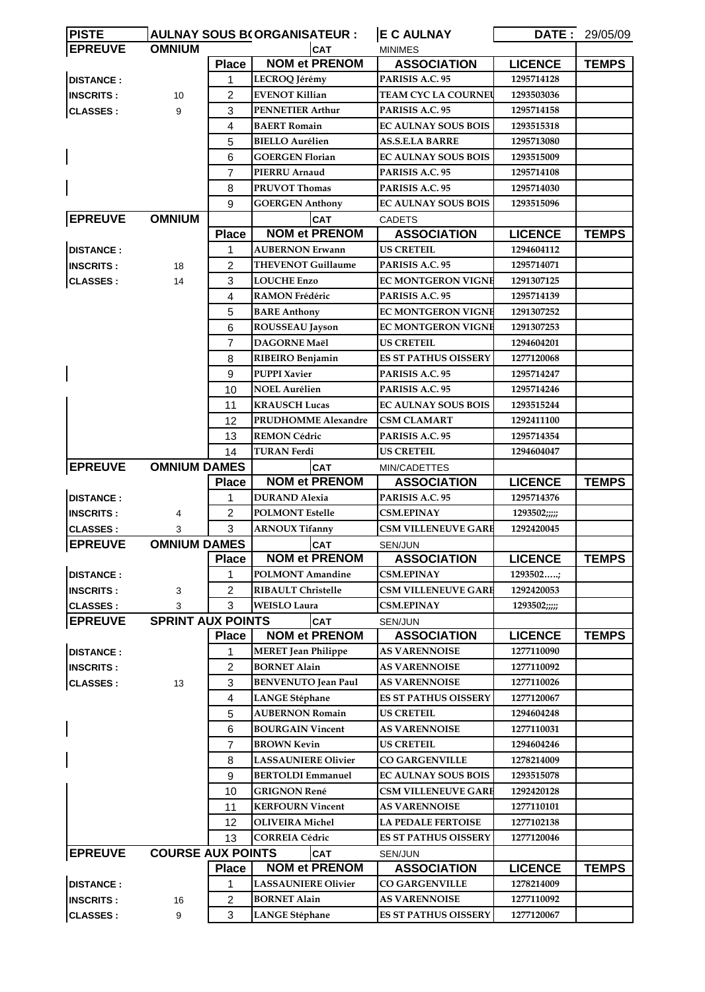| <b>EPREUVE</b><br><b>OMNIUM</b><br>CAT<br><b>MINIMES</b><br><b>NOM et PRENOM</b><br><b>Place</b><br><b>ASSOCIATION</b><br><b>LICENCE</b><br><b>TEMPS</b><br><b>DISTANCE:</b><br>PARISIS A.C. 95<br>1295714128<br>1<br>LECROQ Jérémy<br>2<br><b>EVENOT Killian</b><br><b>TEAM CYC LA COURNEU</b><br>1293503036<br><b>INSCRITS:</b><br>10<br>3<br>PARISIS A.C. 95<br><b>CLASSES:</b><br>9<br><b>PENNETIER Arthur</b><br>1295714158<br>4<br><b>BAERT Romain</b><br><b>EC AULNAY SOUS BOIS</b><br>1293515318<br>5<br><b>BIELLO Aurélien</b><br><b>AS.S.E.LA BARRE</b><br>1295713080<br>6<br><b>GOERGEN Florian</b><br><b>EC AULNAY SOUS BOIS</b><br>1293515009<br>7<br>PIERRU Arnaud<br>PARISIS A.C. 95<br>1295714108<br><b>PRUVOT Thomas</b><br>PARISIS A.C. 95<br>8<br>1295714030<br>9<br><b>GOERGEN Anthony</b><br><b>EC AULNAY SOUS BOIS</b><br>1293515096<br><b>EPREUVE</b><br><b>OMNIUM</b><br>CAT<br><b>CADETS</b><br><b>NOM et PRENOM</b><br><b>ASSOCIATION</b><br><b>LICENCE</b><br><b>Place</b><br><b>TEMPS</b><br><b>DISTANCE:</b><br><b>AUBERNON Erwann</b><br><b>US CRETEIL</b><br>1<br>1294604112<br>$\overline{2}$<br><b>THEVENOT Guillaume</b><br>PARISIS A.C. 95<br><b>INSCRITS:</b><br>18<br>1295714071<br>3<br><b>LOUCHE Enzo</b><br><b>EC MONTGERON VIGNE</b><br><b>CLASSES:</b><br>1291307125<br>14<br><b>RAMON Frédéric</b><br>PARISIS A.C. 95<br>4<br>1295714139<br>5<br><b>BARE Anthony</b><br>EC MONTGERON VIGNE<br>1291307252<br>6<br><b>EC MONTGERON VIGNE</b><br><b>ROUSSEAU Jayson</b><br>1291307253<br>$\overline{7}$<br><b>DAGORNE Maël</b><br><b>US CRETEIL</b><br>1294604201<br><b>ES ST PATHUS OISSERY</b><br>8<br>RIBEIRO Benjamin<br>1277120068<br>9<br><b>PUPPI Xavier</b><br>PARISIS A.C. 95<br>1295714247<br>10<br>NOEL Aurélien<br>PARISIS A.C. 95<br>1295714246<br>11<br><b>KRAUSCH Lucas</b><br><b>EC AULNAY SOUS BOIS</b><br>1293515244<br>PRUDHOMME Alexandre<br>12<br><b>CSM CLAMART</b><br>1292411100<br><b>REMON Cédric</b><br>PARISIS A.C. 95<br>13<br>1295714354<br>14<br><b>US CRETEIL</b><br>TURAN Ferdi<br>1294604047<br><b>EPREUVE</b><br><b>OMNIUM DAMES</b><br><b>CAT</b><br>MIN/CADETTES<br><b>NOM et PRENOM</b><br><b>LICENCE</b><br><b>TEMPS</b><br><b>Place</b><br><b>ASSOCIATION</b><br><b>DISTANCE:</b><br><b>DURAND Alexia</b><br>PARISIS A.C. 95<br>1295714376<br>1<br>$\overline{2}$<br><b>POLMONT Estelle</b><br><b>CSM.EPINAY</b><br><b>INSCRITS:</b><br>1293502;;;;;<br>4<br>3<br><b>CSM VILLENEUVE GARE</b><br><b>ARNOUX Tifanny</b><br>1292420045<br><b>CLASSES:</b><br>3<br><b>OMNIUM DAMES</b><br><b>EPREUVE</b><br><b>CAT</b><br>SEN/JUN<br><b>NOM et PRENOM</b><br><b>Place</b><br><b>LICENCE</b><br><b>TEMPS</b><br><b>ASSOCIATION</b><br><b>DISTANCE:</b><br><b>POLMONT Amandine</b><br><b>CSM.EPINAY</b><br>1293502;<br>1<br>$\overline{c}$<br><b>RIBAULT Christelle</b><br><b>CSM VILLENEUVE GARE</b><br>1292420053<br><b>INSCRITS:</b><br>3<br>3<br><b>WEISLO Laura</b><br><b>CSM.EPINAY</b><br>3<br><b>CLASSES:</b><br>1293502;;;;;<br><b>SPRINT AUX POINTS</b><br><b>EPREUVE</b><br>CAT<br>SEN/JUN<br><b>NOM et PRENOM</b><br><b>LICENCE</b><br><b>Place</b><br><b>ASSOCIATION</b><br><b>TEMPS</b><br><b>DISTANCE:</b><br>1277110090<br><b>MERET</b> Jean Philippe<br><b>AS VARENNOISE</b><br>1<br>$\overline{2}$<br><b>BORNET Alain</b><br><b>AS VARENNOISE</b><br>1277110092<br><b>INSCRITS:</b><br>3<br><b>BENVENUTO Jean Paul</b><br><b>AS VARENNOISE</b><br><b>CLASSES:</b><br>1277110026<br>13<br>$\overline{4}$<br><b>ES ST PATHUS OISSERY</b><br><b>LANGE Stéphane</b><br>1277120067<br>5<br><b>AUBERNON Romain</b><br><b>US CRETEIL</b><br>1294604248<br>6<br><b>BOURGAIN Vincent</b><br><b>AS VARENNOISE</b><br>1277110031<br>$\overline{7}$<br><b>BROWN Kevin</b><br><b>US CRETEIL</b><br>1294604246<br>8<br><b>LASSAUNIERE Olivier</b><br><b>CO GARGENVILLE</b><br>1278214009<br>9<br><b>BERTOLDI Emmanuel</b><br><b>EC AULNAY SOUS BOIS</b><br>1293515078<br>10<br><b>GRIGNON René</b><br><b>CSM VILLENEUVE GARE</b><br>1292420128<br><b>KERFOURN Vincent</b><br><b>AS VARENNOISE</b><br>11<br>1277110101<br>12<br><b>OLIVEIRA</b> Michel<br><b>LA PEDALE FERTOISE</b><br>1277102138<br>13<br><b>CORREIA Cédric</b><br><b>ES ST PATHUS OISSERY</b><br>1277120046<br><b>EPREUVE</b><br><b>COURSE AUX POINTS</b><br>CAT<br>SEN/JUN<br><b>NOM et PRENOM</b><br><b>ASSOCIATION</b><br><b>LICENCE</b><br><b>TEMPS</b><br><b>Place</b><br><b>DISTANCE:</b><br><b>LASSAUNIERE Olivier</b><br><b>CO GARGENVILLE</b><br>1278214009<br>1<br><b>BORNET Alain</b><br>2<br><b>AS VARENNOISE</b><br>1277110092<br><b>INSCRITS:</b><br>16<br>3<br><b>CLASSES:</b><br><b>LANGE Stéphane</b><br><b>ES ST PATHUS OISSERY</b><br>1277120067<br>9 | <b>PISTE</b> |  |  | <b>AULNAY SOUS B(ORGANISATEUR:</b> | <b>E C AULNAY</b> | <b>DATE: 29/05/09</b> |
|------------------------------------------------------------------------------------------------------------------------------------------------------------------------------------------------------------------------------------------------------------------------------------------------------------------------------------------------------------------------------------------------------------------------------------------------------------------------------------------------------------------------------------------------------------------------------------------------------------------------------------------------------------------------------------------------------------------------------------------------------------------------------------------------------------------------------------------------------------------------------------------------------------------------------------------------------------------------------------------------------------------------------------------------------------------------------------------------------------------------------------------------------------------------------------------------------------------------------------------------------------------------------------------------------------------------------------------------------------------------------------------------------------------------------------------------------------------------------------------------------------------------------------------------------------------------------------------------------------------------------------------------------------------------------------------------------------------------------------------------------------------------------------------------------------------------------------------------------------------------------------------------------------------------------------------------------------------------------------------------------------------------------------------------------------------------------------------------------------------------------------------------------------------------------------------------------------------------------------------------------------------------------------------------------------------------------------------------------------------------------------------------------------------------------------------------------------------------------------------------------------------------------------------------------------------------------------------------------------------------------------------------------------------------------------------------------------------------------------------------------------------------------------------------------------------------------------------------------------------------------------------------------------------------------------------------------------------------------------------------------------------------------------------------------------------------------------------------------------------------------------------------------------------------------------------------------------------------------------------------------------------------------------------------------------------------------------------------------------------------------------------------------------------------------------------------------------------------------------------------------------------------------------------------------------------------------------------------------------------------------------------------------------------------------------------------------------------------------------------------------------------------------------------------------------------------------------------------------------------------------------------------------------------------------------------------------------------------------------------------------------------------------------------------------------------------------------------------------------------------------------------------------------------------------------------------------------------------------------------------------------------------------------------------------------------------------------------------------------------------------------------------------------------------------------------------------------------------------------------------------------------------------------------------------------------------------------------------------------------------------------------------------------------------------------------------------------------------|--------------|--|--|------------------------------------|-------------------|-----------------------|
|                                                                                                                                                                                                                                                                                                                                                                                                                                                                                                                                                                                                                                                                                                                                                                                                                                                                                                                                                                                                                                                                                                                                                                                                                                                                                                                                                                                                                                                                                                                                                                                                                                                                                                                                                                                                                                                                                                                                                                                                                                                                                                                                                                                                                                                                                                                                                                                                                                                                                                                                                                                                                                                                                                                                                                                                                                                                                                                                                                                                                                                                                                                                                                                                                                                                                                                                                                                                                                                                                                                                                                                                                                                                                                                                                                                                                                                                                                                                                                                                                                                                                                                                                                                                                                                                                                                                                                                                                                                                                                                                                                                                                                                                                                                        |              |  |  |                                    |                   |                       |
|                                                                                                                                                                                                                                                                                                                                                                                                                                                                                                                                                                                                                                                                                                                                                                                                                                                                                                                                                                                                                                                                                                                                                                                                                                                                                                                                                                                                                                                                                                                                                                                                                                                                                                                                                                                                                                                                                                                                                                                                                                                                                                                                                                                                                                                                                                                                                                                                                                                                                                                                                                                                                                                                                                                                                                                                                                                                                                                                                                                                                                                                                                                                                                                                                                                                                                                                                                                                                                                                                                                                                                                                                                                                                                                                                                                                                                                                                                                                                                                                                                                                                                                                                                                                                                                                                                                                                                                                                                                                                                                                                                                                                                                                                                                        |              |  |  |                                    |                   |                       |
|                                                                                                                                                                                                                                                                                                                                                                                                                                                                                                                                                                                                                                                                                                                                                                                                                                                                                                                                                                                                                                                                                                                                                                                                                                                                                                                                                                                                                                                                                                                                                                                                                                                                                                                                                                                                                                                                                                                                                                                                                                                                                                                                                                                                                                                                                                                                                                                                                                                                                                                                                                                                                                                                                                                                                                                                                                                                                                                                                                                                                                                                                                                                                                                                                                                                                                                                                                                                                                                                                                                                                                                                                                                                                                                                                                                                                                                                                                                                                                                                                                                                                                                                                                                                                                                                                                                                                                                                                                                                                                                                                                                                                                                                                                                        |              |  |  |                                    |                   |                       |
|                                                                                                                                                                                                                                                                                                                                                                                                                                                                                                                                                                                                                                                                                                                                                                                                                                                                                                                                                                                                                                                                                                                                                                                                                                                                                                                                                                                                                                                                                                                                                                                                                                                                                                                                                                                                                                                                                                                                                                                                                                                                                                                                                                                                                                                                                                                                                                                                                                                                                                                                                                                                                                                                                                                                                                                                                                                                                                                                                                                                                                                                                                                                                                                                                                                                                                                                                                                                                                                                                                                                                                                                                                                                                                                                                                                                                                                                                                                                                                                                                                                                                                                                                                                                                                                                                                                                                                                                                                                                                                                                                                                                                                                                                                                        |              |  |  |                                    |                   |                       |
|                                                                                                                                                                                                                                                                                                                                                                                                                                                                                                                                                                                                                                                                                                                                                                                                                                                                                                                                                                                                                                                                                                                                                                                                                                                                                                                                                                                                                                                                                                                                                                                                                                                                                                                                                                                                                                                                                                                                                                                                                                                                                                                                                                                                                                                                                                                                                                                                                                                                                                                                                                                                                                                                                                                                                                                                                                                                                                                                                                                                                                                                                                                                                                                                                                                                                                                                                                                                                                                                                                                                                                                                                                                                                                                                                                                                                                                                                                                                                                                                                                                                                                                                                                                                                                                                                                                                                                                                                                                                                                                                                                                                                                                                                                                        |              |  |  |                                    |                   |                       |
|                                                                                                                                                                                                                                                                                                                                                                                                                                                                                                                                                                                                                                                                                                                                                                                                                                                                                                                                                                                                                                                                                                                                                                                                                                                                                                                                                                                                                                                                                                                                                                                                                                                                                                                                                                                                                                                                                                                                                                                                                                                                                                                                                                                                                                                                                                                                                                                                                                                                                                                                                                                                                                                                                                                                                                                                                                                                                                                                                                                                                                                                                                                                                                                                                                                                                                                                                                                                                                                                                                                                                                                                                                                                                                                                                                                                                                                                                                                                                                                                                                                                                                                                                                                                                                                                                                                                                                                                                                                                                                                                                                                                                                                                                                                        |              |  |  |                                    |                   |                       |
|                                                                                                                                                                                                                                                                                                                                                                                                                                                                                                                                                                                                                                                                                                                                                                                                                                                                                                                                                                                                                                                                                                                                                                                                                                                                                                                                                                                                                                                                                                                                                                                                                                                                                                                                                                                                                                                                                                                                                                                                                                                                                                                                                                                                                                                                                                                                                                                                                                                                                                                                                                                                                                                                                                                                                                                                                                                                                                                                                                                                                                                                                                                                                                                                                                                                                                                                                                                                                                                                                                                                                                                                                                                                                                                                                                                                                                                                                                                                                                                                                                                                                                                                                                                                                                                                                                                                                                                                                                                                                                                                                                                                                                                                                                                        |              |  |  |                                    |                   |                       |
|                                                                                                                                                                                                                                                                                                                                                                                                                                                                                                                                                                                                                                                                                                                                                                                                                                                                                                                                                                                                                                                                                                                                                                                                                                                                                                                                                                                                                                                                                                                                                                                                                                                                                                                                                                                                                                                                                                                                                                                                                                                                                                                                                                                                                                                                                                                                                                                                                                                                                                                                                                                                                                                                                                                                                                                                                                                                                                                                                                                                                                                                                                                                                                                                                                                                                                                                                                                                                                                                                                                                                                                                                                                                                                                                                                                                                                                                                                                                                                                                                                                                                                                                                                                                                                                                                                                                                                                                                                                                                                                                                                                                                                                                                                                        |              |  |  |                                    |                   |                       |
|                                                                                                                                                                                                                                                                                                                                                                                                                                                                                                                                                                                                                                                                                                                                                                                                                                                                                                                                                                                                                                                                                                                                                                                                                                                                                                                                                                                                                                                                                                                                                                                                                                                                                                                                                                                                                                                                                                                                                                                                                                                                                                                                                                                                                                                                                                                                                                                                                                                                                                                                                                                                                                                                                                                                                                                                                                                                                                                                                                                                                                                                                                                                                                                                                                                                                                                                                                                                                                                                                                                                                                                                                                                                                                                                                                                                                                                                                                                                                                                                                                                                                                                                                                                                                                                                                                                                                                                                                                                                                                                                                                                                                                                                                                                        |              |  |  |                                    |                   |                       |
|                                                                                                                                                                                                                                                                                                                                                                                                                                                                                                                                                                                                                                                                                                                                                                                                                                                                                                                                                                                                                                                                                                                                                                                                                                                                                                                                                                                                                                                                                                                                                                                                                                                                                                                                                                                                                                                                                                                                                                                                                                                                                                                                                                                                                                                                                                                                                                                                                                                                                                                                                                                                                                                                                                                                                                                                                                                                                                                                                                                                                                                                                                                                                                                                                                                                                                                                                                                                                                                                                                                                                                                                                                                                                                                                                                                                                                                                                                                                                                                                                                                                                                                                                                                                                                                                                                                                                                                                                                                                                                                                                                                                                                                                                                                        |              |  |  |                                    |                   |                       |
|                                                                                                                                                                                                                                                                                                                                                                                                                                                                                                                                                                                                                                                                                                                                                                                                                                                                                                                                                                                                                                                                                                                                                                                                                                                                                                                                                                                                                                                                                                                                                                                                                                                                                                                                                                                                                                                                                                                                                                                                                                                                                                                                                                                                                                                                                                                                                                                                                                                                                                                                                                                                                                                                                                                                                                                                                                                                                                                                                                                                                                                                                                                                                                                                                                                                                                                                                                                                                                                                                                                                                                                                                                                                                                                                                                                                                                                                                                                                                                                                                                                                                                                                                                                                                                                                                                                                                                                                                                                                                                                                                                                                                                                                                                                        |              |  |  |                                    |                   |                       |
|                                                                                                                                                                                                                                                                                                                                                                                                                                                                                                                                                                                                                                                                                                                                                                                                                                                                                                                                                                                                                                                                                                                                                                                                                                                                                                                                                                                                                                                                                                                                                                                                                                                                                                                                                                                                                                                                                                                                                                                                                                                                                                                                                                                                                                                                                                                                                                                                                                                                                                                                                                                                                                                                                                                                                                                                                                                                                                                                                                                                                                                                                                                                                                                                                                                                                                                                                                                                                                                                                                                                                                                                                                                                                                                                                                                                                                                                                                                                                                                                                                                                                                                                                                                                                                                                                                                                                                                                                                                                                                                                                                                                                                                                                                                        |              |  |  |                                    |                   |                       |
|                                                                                                                                                                                                                                                                                                                                                                                                                                                                                                                                                                                                                                                                                                                                                                                                                                                                                                                                                                                                                                                                                                                                                                                                                                                                                                                                                                                                                                                                                                                                                                                                                                                                                                                                                                                                                                                                                                                                                                                                                                                                                                                                                                                                                                                                                                                                                                                                                                                                                                                                                                                                                                                                                                                                                                                                                                                                                                                                                                                                                                                                                                                                                                                                                                                                                                                                                                                                                                                                                                                                                                                                                                                                                                                                                                                                                                                                                                                                                                                                                                                                                                                                                                                                                                                                                                                                                                                                                                                                                                                                                                                                                                                                                                                        |              |  |  |                                    |                   |                       |
|                                                                                                                                                                                                                                                                                                                                                                                                                                                                                                                                                                                                                                                                                                                                                                                                                                                                                                                                                                                                                                                                                                                                                                                                                                                                                                                                                                                                                                                                                                                                                                                                                                                                                                                                                                                                                                                                                                                                                                                                                                                                                                                                                                                                                                                                                                                                                                                                                                                                                                                                                                                                                                                                                                                                                                                                                                                                                                                                                                                                                                                                                                                                                                                                                                                                                                                                                                                                                                                                                                                                                                                                                                                                                                                                                                                                                                                                                                                                                                                                                                                                                                                                                                                                                                                                                                                                                                                                                                                                                                                                                                                                                                                                                                                        |              |  |  |                                    |                   |                       |
|                                                                                                                                                                                                                                                                                                                                                                                                                                                                                                                                                                                                                                                                                                                                                                                                                                                                                                                                                                                                                                                                                                                                                                                                                                                                                                                                                                                                                                                                                                                                                                                                                                                                                                                                                                                                                                                                                                                                                                                                                                                                                                                                                                                                                                                                                                                                                                                                                                                                                                                                                                                                                                                                                                                                                                                                                                                                                                                                                                                                                                                                                                                                                                                                                                                                                                                                                                                                                                                                                                                                                                                                                                                                                                                                                                                                                                                                                                                                                                                                                                                                                                                                                                                                                                                                                                                                                                                                                                                                                                                                                                                                                                                                                                                        |              |  |  |                                    |                   |                       |
|                                                                                                                                                                                                                                                                                                                                                                                                                                                                                                                                                                                                                                                                                                                                                                                                                                                                                                                                                                                                                                                                                                                                                                                                                                                                                                                                                                                                                                                                                                                                                                                                                                                                                                                                                                                                                                                                                                                                                                                                                                                                                                                                                                                                                                                                                                                                                                                                                                                                                                                                                                                                                                                                                                                                                                                                                                                                                                                                                                                                                                                                                                                                                                                                                                                                                                                                                                                                                                                                                                                                                                                                                                                                                                                                                                                                                                                                                                                                                                                                                                                                                                                                                                                                                                                                                                                                                                                                                                                                                                                                                                                                                                                                                                                        |              |  |  |                                    |                   |                       |
|                                                                                                                                                                                                                                                                                                                                                                                                                                                                                                                                                                                                                                                                                                                                                                                                                                                                                                                                                                                                                                                                                                                                                                                                                                                                                                                                                                                                                                                                                                                                                                                                                                                                                                                                                                                                                                                                                                                                                                                                                                                                                                                                                                                                                                                                                                                                                                                                                                                                                                                                                                                                                                                                                                                                                                                                                                                                                                                                                                                                                                                                                                                                                                                                                                                                                                                                                                                                                                                                                                                                                                                                                                                                                                                                                                                                                                                                                                                                                                                                                                                                                                                                                                                                                                                                                                                                                                                                                                                                                                                                                                                                                                                                                                                        |              |  |  |                                    |                   |                       |
|                                                                                                                                                                                                                                                                                                                                                                                                                                                                                                                                                                                                                                                                                                                                                                                                                                                                                                                                                                                                                                                                                                                                                                                                                                                                                                                                                                                                                                                                                                                                                                                                                                                                                                                                                                                                                                                                                                                                                                                                                                                                                                                                                                                                                                                                                                                                                                                                                                                                                                                                                                                                                                                                                                                                                                                                                                                                                                                                                                                                                                                                                                                                                                                                                                                                                                                                                                                                                                                                                                                                                                                                                                                                                                                                                                                                                                                                                                                                                                                                                                                                                                                                                                                                                                                                                                                                                                                                                                                                                                                                                                                                                                                                                                                        |              |  |  |                                    |                   |                       |
|                                                                                                                                                                                                                                                                                                                                                                                                                                                                                                                                                                                                                                                                                                                                                                                                                                                                                                                                                                                                                                                                                                                                                                                                                                                                                                                                                                                                                                                                                                                                                                                                                                                                                                                                                                                                                                                                                                                                                                                                                                                                                                                                                                                                                                                                                                                                                                                                                                                                                                                                                                                                                                                                                                                                                                                                                                                                                                                                                                                                                                                                                                                                                                                                                                                                                                                                                                                                                                                                                                                                                                                                                                                                                                                                                                                                                                                                                                                                                                                                                                                                                                                                                                                                                                                                                                                                                                                                                                                                                                                                                                                                                                                                                                                        |              |  |  |                                    |                   |                       |
|                                                                                                                                                                                                                                                                                                                                                                                                                                                                                                                                                                                                                                                                                                                                                                                                                                                                                                                                                                                                                                                                                                                                                                                                                                                                                                                                                                                                                                                                                                                                                                                                                                                                                                                                                                                                                                                                                                                                                                                                                                                                                                                                                                                                                                                                                                                                                                                                                                                                                                                                                                                                                                                                                                                                                                                                                                                                                                                                                                                                                                                                                                                                                                                                                                                                                                                                                                                                                                                                                                                                                                                                                                                                                                                                                                                                                                                                                                                                                                                                                                                                                                                                                                                                                                                                                                                                                                                                                                                                                                                                                                                                                                                                                                                        |              |  |  |                                    |                   |                       |
|                                                                                                                                                                                                                                                                                                                                                                                                                                                                                                                                                                                                                                                                                                                                                                                                                                                                                                                                                                                                                                                                                                                                                                                                                                                                                                                                                                                                                                                                                                                                                                                                                                                                                                                                                                                                                                                                                                                                                                                                                                                                                                                                                                                                                                                                                                                                                                                                                                                                                                                                                                                                                                                                                                                                                                                                                                                                                                                                                                                                                                                                                                                                                                                                                                                                                                                                                                                                                                                                                                                                                                                                                                                                                                                                                                                                                                                                                                                                                                                                                                                                                                                                                                                                                                                                                                                                                                                                                                                                                                                                                                                                                                                                                                                        |              |  |  |                                    |                   |                       |
|                                                                                                                                                                                                                                                                                                                                                                                                                                                                                                                                                                                                                                                                                                                                                                                                                                                                                                                                                                                                                                                                                                                                                                                                                                                                                                                                                                                                                                                                                                                                                                                                                                                                                                                                                                                                                                                                                                                                                                                                                                                                                                                                                                                                                                                                                                                                                                                                                                                                                                                                                                                                                                                                                                                                                                                                                                                                                                                                                                                                                                                                                                                                                                                                                                                                                                                                                                                                                                                                                                                                                                                                                                                                                                                                                                                                                                                                                                                                                                                                                                                                                                                                                                                                                                                                                                                                                                                                                                                                                                                                                                                                                                                                                                                        |              |  |  |                                    |                   |                       |
|                                                                                                                                                                                                                                                                                                                                                                                                                                                                                                                                                                                                                                                                                                                                                                                                                                                                                                                                                                                                                                                                                                                                                                                                                                                                                                                                                                                                                                                                                                                                                                                                                                                                                                                                                                                                                                                                                                                                                                                                                                                                                                                                                                                                                                                                                                                                                                                                                                                                                                                                                                                                                                                                                                                                                                                                                                                                                                                                                                                                                                                                                                                                                                                                                                                                                                                                                                                                                                                                                                                                                                                                                                                                                                                                                                                                                                                                                                                                                                                                                                                                                                                                                                                                                                                                                                                                                                                                                                                                                                                                                                                                                                                                                                                        |              |  |  |                                    |                   |                       |
|                                                                                                                                                                                                                                                                                                                                                                                                                                                                                                                                                                                                                                                                                                                                                                                                                                                                                                                                                                                                                                                                                                                                                                                                                                                                                                                                                                                                                                                                                                                                                                                                                                                                                                                                                                                                                                                                                                                                                                                                                                                                                                                                                                                                                                                                                                                                                                                                                                                                                                                                                                                                                                                                                                                                                                                                                                                                                                                                                                                                                                                                                                                                                                                                                                                                                                                                                                                                                                                                                                                                                                                                                                                                                                                                                                                                                                                                                                                                                                                                                                                                                                                                                                                                                                                                                                                                                                                                                                                                                                                                                                                                                                                                                                                        |              |  |  |                                    |                   |                       |
|                                                                                                                                                                                                                                                                                                                                                                                                                                                                                                                                                                                                                                                                                                                                                                                                                                                                                                                                                                                                                                                                                                                                                                                                                                                                                                                                                                                                                                                                                                                                                                                                                                                                                                                                                                                                                                                                                                                                                                                                                                                                                                                                                                                                                                                                                                                                                                                                                                                                                                                                                                                                                                                                                                                                                                                                                                                                                                                                                                                                                                                                                                                                                                                                                                                                                                                                                                                                                                                                                                                                                                                                                                                                                                                                                                                                                                                                                                                                                                                                                                                                                                                                                                                                                                                                                                                                                                                                                                                                                                                                                                                                                                                                                                                        |              |  |  |                                    |                   |                       |
|                                                                                                                                                                                                                                                                                                                                                                                                                                                                                                                                                                                                                                                                                                                                                                                                                                                                                                                                                                                                                                                                                                                                                                                                                                                                                                                                                                                                                                                                                                                                                                                                                                                                                                                                                                                                                                                                                                                                                                                                                                                                                                                                                                                                                                                                                                                                                                                                                                                                                                                                                                                                                                                                                                                                                                                                                                                                                                                                                                                                                                                                                                                                                                                                                                                                                                                                                                                                                                                                                                                                                                                                                                                                                                                                                                                                                                                                                                                                                                                                                                                                                                                                                                                                                                                                                                                                                                                                                                                                                                                                                                                                                                                                                                                        |              |  |  |                                    |                   |                       |
|                                                                                                                                                                                                                                                                                                                                                                                                                                                                                                                                                                                                                                                                                                                                                                                                                                                                                                                                                                                                                                                                                                                                                                                                                                                                                                                                                                                                                                                                                                                                                                                                                                                                                                                                                                                                                                                                                                                                                                                                                                                                                                                                                                                                                                                                                                                                                                                                                                                                                                                                                                                                                                                                                                                                                                                                                                                                                                                                                                                                                                                                                                                                                                                                                                                                                                                                                                                                                                                                                                                                                                                                                                                                                                                                                                                                                                                                                                                                                                                                                                                                                                                                                                                                                                                                                                                                                                                                                                                                                                                                                                                                                                                                                                                        |              |  |  |                                    |                   |                       |
|                                                                                                                                                                                                                                                                                                                                                                                                                                                                                                                                                                                                                                                                                                                                                                                                                                                                                                                                                                                                                                                                                                                                                                                                                                                                                                                                                                                                                                                                                                                                                                                                                                                                                                                                                                                                                                                                                                                                                                                                                                                                                                                                                                                                                                                                                                                                                                                                                                                                                                                                                                                                                                                                                                                                                                                                                                                                                                                                                                                                                                                                                                                                                                                                                                                                                                                                                                                                                                                                                                                                                                                                                                                                                                                                                                                                                                                                                                                                                                                                                                                                                                                                                                                                                                                                                                                                                                                                                                                                                                                                                                                                                                                                                                                        |              |  |  |                                    |                   |                       |
|                                                                                                                                                                                                                                                                                                                                                                                                                                                                                                                                                                                                                                                                                                                                                                                                                                                                                                                                                                                                                                                                                                                                                                                                                                                                                                                                                                                                                                                                                                                                                                                                                                                                                                                                                                                                                                                                                                                                                                                                                                                                                                                                                                                                                                                                                                                                                                                                                                                                                                                                                                                                                                                                                                                                                                                                                                                                                                                                                                                                                                                                                                                                                                                                                                                                                                                                                                                                                                                                                                                                                                                                                                                                                                                                                                                                                                                                                                                                                                                                                                                                                                                                                                                                                                                                                                                                                                                                                                                                                                                                                                                                                                                                                                                        |              |  |  |                                    |                   |                       |
|                                                                                                                                                                                                                                                                                                                                                                                                                                                                                                                                                                                                                                                                                                                                                                                                                                                                                                                                                                                                                                                                                                                                                                                                                                                                                                                                                                                                                                                                                                                                                                                                                                                                                                                                                                                                                                                                                                                                                                                                                                                                                                                                                                                                                                                                                                                                                                                                                                                                                                                                                                                                                                                                                                                                                                                                                                                                                                                                                                                                                                                                                                                                                                                                                                                                                                                                                                                                                                                                                                                                                                                                                                                                                                                                                                                                                                                                                                                                                                                                                                                                                                                                                                                                                                                                                                                                                                                                                                                                                                                                                                                                                                                                                                                        |              |  |  |                                    |                   |                       |
|                                                                                                                                                                                                                                                                                                                                                                                                                                                                                                                                                                                                                                                                                                                                                                                                                                                                                                                                                                                                                                                                                                                                                                                                                                                                                                                                                                                                                                                                                                                                                                                                                                                                                                                                                                                                                                                                                                                                                                                                                                                                                                                                                                                                                                                                                                                                                                                                                                                                                                                                                                                                                                                                                                                                                                                                                                                                                                                                                                                                                                                                                                                                                                                                                                                                                                                                                                                                                                                                                                                                                                                                                                                                                                                                                                                                                                                                                                                                                                                                                                                                                                                                                                                                                                                                                                                                                                                                                                                                                                                                                                                                                                                                                                                        |              |  |  |                                    |                   |                       |
|                                                                                                                                                                                                                                                                                                                                                                                                                                                                                                                                                                                                                                                                                                                                                                                                                                                                                                                                                                                                                                                                                                                                                                                                                                                                                                                                                                                                                                                                                                                                                                                                                                                                                                                                                                                                                                                                                                                                                                                                                                                                                                                                                                                                                                                                                                                                                                                                                                                                                                                                                                                                                                                                                                                                                                                                                                                                                                                                                                                                                                                                                                                                                                                                                                                                                                                                                                                                                                                                                                                                                                                                                                                                                                                                                                                                                                                                                                                                                                                                                                                                                                                                                                                                                                                                                                                                                                                                                                                                                                                                                                                                                                                                                                                        |              |  |  |                                    |                   |                       |
|                                                                                                                                                                                                                                                                                                                                                                                                                                                                                                                                                                                                                                                                                                                                                                                                                                                                                                                                                                                                                                                                                                                                                                                                                                                                                                                                                                                                                                                                                                                                                                                                                                                                                                                                                                                                                                                                                                                                                                                                                                                                                                                                                                                                                                                                                                                                                                                                                                                                                                                                                                                                                                                                                                                                                                                                                                                                                                                                                                                                                                                                                                                                                                                                                                                                                                                                                                                                                                                                                                                                                                                                                                                                                                                                                                                                                                                                                                                                                                                                                                                                                                                                                                                                                                                                                                                                                                                                                                                                                                                                                                                                                                                                                                                        |              |  |  |                                    |                   |                       |
|                                                                                                                                                                                                                                                                                                                                                                                                                                                                                                                                                                                                                                                                                                                                                                                                                                                                                                                                                                                                                                                                                                                                                                                                                                                                                                                                                                                                                                                                                                                                                                                                                                                                                                                                                                                                                                                                                                                                                                                                                                                                                                                                                                                                                                                                                                                                                                                                                                                                                                                                                                                                                                                                                                                                                                                                                                                                                                                                                                                                                                                                                                                                                                                                                                                                                                                                                                                                                                                                                                                                                                                                                                                                                                                                                                                                                                                                                                                                                                                                                                                                                                                                                                                                                                                                                                                                                                                                                                                                                                                                                                                                                                                                                                                        |              |  |  |                                    |                   |                       |
|                                                                                                                                                                                                                                                                                                                                                                                                                                                                                                                                                                                                                                                                                                                                                                                                                                                                                                                                                                                                                                                                                                                                                                                                                                                                                                                                                                                                                                                                                                                                                                                                                                                                                                                                                                                                                                                                                                                                                                                                                                                                                                                                                                                                                                                                                                                                                                                                                                                                                                                                                                                                                                                                                                                                                                                                                                                                                                                                                                                                                                                                                                                                                                                                                                                                                                                                                                                                                                                                                                                                                                                                                                                                                                                                                                                                                                                                                                                                                                                                                                                                                                                                                                                                                                                                                                                                                                                                                                                                                                                                                                                                                                                                                                                        |              |  |  |                                    |                   |                       |
|                                                                                                                                                                                                                                                                                                                                                                                                                                                                                                                                                                                                                                                                                                                                                                                                                                                                                                                                                                                                                                                                                                                                                                                                                                                                                                                                                                                                                                                                                                                                                                                                                                                                                                                                                                                                                                                                                                                                                                                                                                                                                                                                                                                                                                                                                                                                                                                                                                                                                                                                                                                                                                                                                                                                                                                                                                                                                                                                                                                                                                                                                                                                                                                                                                                                                                                                                                                                                                                                                                                                                                                                                                                                                                                                                                                                                                                                                                                                                                                                                                                                                                                                                                                                                                                                                                                                                                                                                                                                                                                                                                                                                                                                                                                        |              |  |  |                                    |                   |                       |
|                                                                                                                                                                                                                                                                                                                                                                                                                                                                                                                                                                                                                                                                                                                                                                                                                                                                                                                                                                                                                                                                                                                                                                                                                                                                                                                                                                                                                                                                                                                                                                                                                                                                                                                                                                                                                                                                                                                                                                                                                                                                                                                                                                                                                                                                                                                                                                                                                                                                                                                                                                                                                                                                                                                                                                                                                                                                                                                                                                                                                                                                                                                                                                                                                                                                                                                                                                                                                                                                                                                                                                                                                                                                                                                                                                                                                                                                                                                                                                                                                                                                                                                                                                                                                                                                                                                                                                                                                                                                                                                                                                                                                                                                                                                        |              |  |  |                                    |                   |                       |
|                                                                                                                                                                                                                                                                                                                                                                                                                                                                                                                                                                                                                                                                                                                                                                                                                                                                                                                                                                                                                                                                                                                                                                                                                                                                                                                                                                                                                                                                                                                                                                                                                                                                                                                                                                                                                                                                                                                                                                                                                                                                                                                                                                                                                                                                                                                                                                                                                                                                                                                                                                                                                                                                                                                                                                                                                                                                                                                                                                                                                                                                                                                                                                                                                                                                                                                                                                                                                                                                                                                                                                                                                                                                                                                                                                                                                                                                                                                                                                                                                                                                                                                                                                                                                                                                                                                                                                                                                                                                                                                                                                                                                                                                                                                        |              |  |  |                                    |                   |                       |
|                                                                                                                                                                                                                                                                                                                                                                                                                                                                                                                                                                                                                                                                                                                                                                                                                                                                                                                                                                                                                                                                                                                                                                                                                                                                                                                                                                                                                                                                                                                                                                                                                                                                                                                                                                                                                                                                                                                                                                                                                                                                                                                                                                                                                                                                                                                                                                                                                                                                                                                                                                                                                                                                                                                                                                                                                                                                                                                                                                                                                                                                                                                                                                                                                                                                                                                                                                                                                                                                                                                                                                                                                                                                                                                                                                                                                                                                                                                                                                                                                                                                                                                                                                                                                                                                                                                                                                                                                                                                                                                                                                                                                                                                                                                        |              |  |  |                                    |                   |                       |
|                                                                                                                                                                                                                                                                                                                                                                                                                                                                                                                                                                                                                                                                                                                                                                                                                                                                                                                                                                                                                                                                                                                                                                                                                                                                                                                                                                                                                                                                                                                                                                                                                                                                                                                                                                                                                                                                                                                                                                                                                                                                                                                                                                                                                                                                                                                                                                                                                                                                                                                                                                                                                                                                                                                                                                                                                                                                                                                                                                                                                                                                                                                                                                                                                                                                                                                                                                                                                                                                                                                                                                                                                                                                                                                                                                                                                                                                                                                                                                                                                                                                                                                                                                                                                                                                                                                                                                                                                                                                                                                                                                                                                                                                                                                        |              |  |  |                                    |                   |                       |
|                                                                                                                                                                                                                                                                                                                                                                                                                                                                                                                                                                                                                                                                                                                                                                                                                                                                                                                                                                                                                                                                                                                                                                                                                                                                                                                                                                                                                                                                                                                                                                                                                                                                                                                                                                                                                                                                                                                                                                                                                                                                                                                                                                                                                                                                                                                                                                                                                                                                                                                                                                                                                                                                                                                                                                                                                                                                                                                                                                                                                                                                                                                                                                                                                                                                                                                                                                                                                                                                                                                                                                                                                                                                                                                                                                                                                                                                                                                                                                                                                                                                                                                                                                                                                                                                                                                                                                                                                                                                                                                                                                                                                                                                                                                        |              |  |  |                                    |                   |                       |
|                                                                                                                                                                                                                                                                                                                                                                                                                                                                                                                                                                                                                                                                                                                                                                                                                                                                                                                                                                                                                                                                                                                                                                                                                                                                                                                                                                                                                                                                                                                                                                                                                                                                                                                                                                                                                                                                                                                                                                                                                                                                                                                                                                                                                                                                                                                                                                                                                                                                                                                                                                                                                                                                                                                                                                                                                                                                                                                                                                                                                                                                                                                                                                                                                                                                                                                                                                                                                                                                                                                                                                                                                                                                                                                                                                                                                                                                                                                                                                                                                                                                                                                                                                                                                                                                                                                                                                                                                                                                                                                                                                                                                                                                                                                        |              |  |  |                                    |                   |                       |
|                                                                                                                                                                                                                                                                                                                                                                                                                                                                                                                                                                                                                                                                                                                                                                                                                                                                                                                                                                                                                                                                                                                                                                                                                                                                                                                                                                                                                                                                                                                                                                                                                                                                                                                                                                                                                                                                                                                                                                                                                                                                                                                                                                                                                                                                                                                                                                                                                                                                                                                                                                                                                                                                                                                                                                                                                                                                                                                                                                                                                                                                                                                                                                                                                                                                                                                                                                                                                                                                                                                                                                                                                                                                                                                                                                                                                                                                                                                                                                                                                                                                                                                                                                                                                                                                                                                                                                                                                                                                                                                                                                                                                                                                                                                        |              |  |  |                                    |                   |                       |
|                                                                                                                                                                                                                                                                                                                                                                                                                                                                                                                                                                                                                                                                                                                                                                                                                                                                                                                                                                                                                                                                                                                                                                                                                                                                                                                                                                                                                                                                                                                                                                                                                                                                                                                                                                                                                                                                                                                                                                                                                                                                                                                                                                                                                                                                                                                                                                                                                                                                                                                                                                                                                                                                                                                                                                                                                                                                                                                                                                                                                                                                                                                                                                                                                                                                                                                                                                                                                                                                                                                                                                                                                                                                                                                                                                                                                                                                                                                                                                                                                                                                                                                                                                                                                                                                                                                                                                                                                                                                                                                                                                                                                                                                                                                        |              |  |  |                                    |                   |                       |
|                                                                                                                                                                                                                                                                                                                                                                                                                                                                                                                                                                                                                                                                                                                                                                                                                                                                                                                                                                                                                                                                                                                                                                                                                                                                                                                                                                                                                                                                                                                                                                                                                                                                                                                                                                                                                                                                                                                                                                                                                                                                                                                                                                                                                                                                                                                                                                                                                                                                                                                                                                                                                                                                                                                                                                                                                                                                                                                                                                                                                                                                                                                                                                                                                                                                                                                                                                                                                                                                                                                                                                                                                                                                                                                                                                                                                                                                                                                                                                                                                                                                                                                                                                                                                                                                                                                                                                                                                                                                                                                                                                                                                                                                                                                        |              |  |  |                                    |                   |                       |
|                                                                                                                                                                                                                                                                                                                                                                                                                                                                                                                                                                                                                                                                                                                                                                                                                                                                                                                                                                                                                                                                                                                                                                                                                                                                                                                                                                                                                                                                                                                                                                                                                                                                                                                                                                                                                                                                                                                                                                                                                                                                                                                                                                                                                                                                                                                                                                                                                                                                                                                                                                                                                                                                                                                                                                                                                                                                                                                                                                                                                                                                                                                                                                                                                                                                                                                                                                                                                                                                                                                                                                                                                                                                                                                                                                                                                                                                                                                                                                                                                                                                                                                                                                                                                                                                                                                                                                                                                                                                                                                                                                                                                                                                                                                        |              |  |  |                                    |                   |                       |
|                                                                                                                                                                                                                                                                                                                                                                                                                                                                                                                                                                                                                                                                                                                                                                                                                                                                                                                                                                                                                                                                                                                                                                                                                                                                                                                                                                                                                                                                                                                                                                                                                                                                                                                                                                                                                                                                                                                                                                                                                                                                                                                                                                                                                                                                                                                                                                                                                                                                                                                                                                                                                                                                                                                                                                                                                                                                                                                                                                                                                                                                                                                                                                                                                                                                                                                                                                                                                                                                                                                                                                                                                                                                                                                                                                                                                                                                                                                                                                                                                                                                                                                                                                                                                                                                                                                                                                                                                                                                                                                                                                                                                                                                                                                        |              |  |  |                                    |                   |                       |
|                                                                                                                                                                                                                                                                                                                                                                                                                                                                                                                                                                                                                                                                                                                                                                                                                                                                                                                                                                                                                                                                                                                                                                                                                                                                                                                                                                                                                                                                                                                                                                                                                                                                                                                                                                                                                                                                                                                                                                                                                                                                                                                                                                                                                                                                                                                                                                                                                                                                                                                                                                                                                                                                                                                                                                                                                                                                                                                                                                                                                                                                                                                                                                                                                                                                                                                                                                                                                                                                                                                                                                                                                                                                                                                                                                                                                                                                                                                                                                                                                                                                                                                                                                                                                                                                                                                                                                                                                                                                                                                                                                                                                                                                                                                        |              |  |  |                                    |                   |                       |
|                                                                                                                                                                                                                                                                                                                                                                                                                                                                                                                                                                                                                                                                                                                                                                                                                                                                                                                                                                                                                                                                                                                                                                                                                                                                                                                                                                                                                                                                                                                                                                                                                                                                                                                                                                                                                                                                                                                                                                                                                                                                                                                                                                                                                                                                                                                                                                                                                                                                                                                                                                                                                                                                                                                                                                                                                                                                                                                                                                                                                                                                                                                                                                                                                                                                                                                                                                                                                                                                                                                                                                                                                                                                                                                                                                                                                                                                                                                                                                                                                                                                                                                                                                                                                                                                                                                                                                                                                                                                                                                                                                                                                                                                                                                        |              |  |  |                                    |                   |                       |
|                                                                                                                                                                                                                                                                                                                                                                                                                                                                                                                                                                                                                                                                                                                                                                                                                                                                                                                                                                                                                                                                                                                                                                                                                                                                                                                                                                                                                                                                                                                                                                                                                                                                                                                                                                                                                                                                                                                                                                                                                                                                                                                                                                                                                                                                                                                                                                                                                                                                                                                                                                                                                                                                                                                                                                                                                                                                                                                                                                                                                                                                                                                                                                                                                                                                                                                                                                                                                                                                                                                                                                                                                                                                                                                                                                                                                                                                                                                                                                                                                                                                                                                                                                                                                                                                                                                                                                                                                                                                                                                                                                                                                                                                                                                        |              |  |  |                                    |                   |                       |
|                                                                                                                                                                                                                                                                                                                                                                                                                                                                                                                                                                                                                                                                                                                                                                                                                                                                                                                                                                                                                                                                                                                                                                                                                                                                                                                                                                                                                                                                                                                                                                                                                                                                                                                                                                                                                                                                                                                                                                                                                                                                                                                                                                                                                                                                                                                                                                                                                                                                                                                                                                                                                                                                                                                                                                                                                                                                                                                                                                                                                                                                                                                                                                                                                                                                                                                                                                                                                                                                                                                                                                                                                                                                                                                                                                                                                                                                                                                                                                                                                                                                                                                                                                                                                                                                                                                                                                                                                                                                                                                                                                                                                                                                                                                        |              |  |  |                                    |                   |                       |
|                                                                                                                                                                                                                                                                                                                                                                                                                                                                                                                                                                                                                                                                                                                                                                                                                                                                                                                                                                                                                                                                                                                                                                                                                                                                                                                                                                                                                                                                                                                                                                                                                                                                                                                                                                                                                                                                                                                                                                                                                                                                                                                                                                                                                                                                                                                                                                                                                                                                                                                                                                                                                                                                                                                                                                                                                                                                                                                                                                                                                                                                                                                                                                                                                                                                                                                                                                                                                                                                                                                                                                                                                                                                                                                                                                                                                                                                                                                                                                                                                                                                                                                                                                                                                                                                                                                                                                                                                                                                                                                                                                                                                                                                                                                        |              |  |  |                                    |                   |                       |
|                                                                                                                                                                                                                                                                                                                                                                                                                                                                                                                                                                                                                                                                                                                                                                                                                                                                                                                                                                                                                                                                                                                                                                                                                                                                                                                                                                                                                                                                                                                                                                                                                                                                                                                                                                                                                                                                                                                                                                                                                                                                                                                                                                                                                                                                                                                                                                                                                                                                                                                                                                                                                                                                                                                                                                                                                                                                                                                                                                                                                                                                                                                                                                                                                                                                                                                                                                                                                                                                                                                                                                                                                                                                                                                                                                                                                                                                                                                                                                                                                                                                                                                                                                                                                                                                                                                                                                                                                                                                                                                                                                                                                                                                                                                        |              |  |  |                                    |                   |                       |
|                                                                                                                                                                                                                                                                                                                                                                                                                                                                                                                                                                                                                                                                                                                                                                                                                                                                                                                                                                                                                                                                                                                                                                                                                                                                                                                                                                                                                                                                                                                                                                                                                                                                                                                                                                                                                                                                                                                                                                                                                                                                                                                                                                                                                                                                                                                                                                                                                                                                                                                                                                                                                                                                                                                                                                                                                                                                                                                                                                                                                                                                                                                                                                                                                                                                                                                                                                                                                                                                                                                                                                                                                                                                                                                                                                                                                                                                                                                                                                                                                                                                                                                                                                                                                                                                                                                                                                                                                                                                                                                                                                                                                                                                                                                        |              |  |  |                                    |                   |                       |
|                                                                                                                                                                                                                                                                                                                                                                                                                                                                                                                                                                                                                                                                                                                                                                                                                                                                                                                                                                                                                                                                                                                                                                                                                                                                                                                                                                                                                                                                                                                                                                                                                                                                                                                                                                                                                                                                                                                                                                                                                                                                                                                                                                                                                                                                                                                                                                                                                                                                                                                                                                                                                                                                                                                                                                                                                                                                                                                                                                                                                                                                                                                                                                                                                                                                                                                                                                                                                                                                                                                                                                                                                                                                                                                                                                                                                                                                                                                                                                                                                                                                                                                                                                                                                                                                                                                                                                                                                                                                                                                                                                                                                                                                                                                        |              |  |  |                                    |                   |                       |
|                                                                                                                                                                                                                                                                                                                                                                                                                                                                                                                                                                                                                                                                                                                                                                                                                                                                                                                                                                                                                                                                                                                                                                                                                                                                                                                                                                                                                                                                                                                                                                                                                                                                                                                                                                                                                                                                                                                                                                                                                                                                                                                                                                                                                                                                                                                                                                                                                                                                                                                                                                                                                                                                                                                                                                                                                                                                                                                                                                                                                                                                                                                                                                                                                                                                                                                                                                                                                                                                                                                                                                                                                                                                                                                                                                                                                                                                                                                                                                                                                                                                                                                                                                                                                                                                                                                                                                                                                                                                                                                                                                                                                                                                                                                        |              |  |  |                                    |                   |                       |
|                                                                                                                                                                                                                                                                                                                                                                                                                                                                                                                                                                                                                                                                                                                                                                                                                                                                                                                                                                                                                                                                                                                                                                                                                                                                                                                                                                                                                                                                                                                                                                                                                                                                                                                                                                                                                                                                                                                                                                                                                                                                                                                                                                                                                                                                                                                                                                                                                                                                                                                                                                                                                                                                                                                                                                                                                                                                                                                                                                                                                                                                                                                                                                                                                                                                                                                                                                                                                                                                                                                                                                                                                                                                                                                                                                                                                                                                                                                                                                                                                                                                                                                                                                                                                                                                                                                                                                                                                                                                                                                                                                                                                                                                                                                        |              |  |  |                                    |                   |                       |